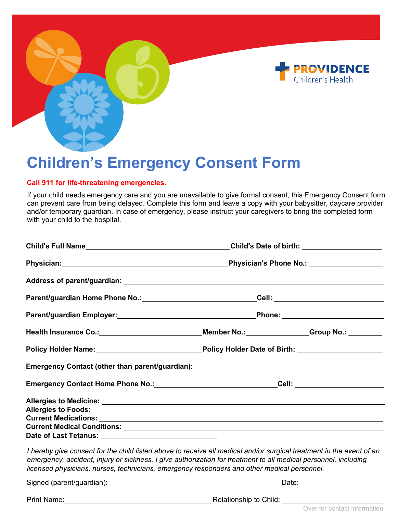



## **Children's Emergency Consent Form**

## **Call 911 for life-threatening emergencies.**

If your child needs emergency care and you are unavailable to give formal consent, this Emergency Consent form can prevent care from being delayed. Complete this form and leave a copy with your babysitter, daycare provider and/or temporary guardian. In case of emergency, please instruct your caregivers to bring the completed form with your child to the hospital.

|                                                                                                                                                                                                                                                                                                                                        | Child's Date of birth: _____________________                                                         |                                                                                                      |  |
|----------------------------------------------------------------------------------------------------------------------------------------------------------------------------------------------------------------------------------------------------------------------------------------------------------------------------------------|------------------------------------------------------------------------------------------------------|------------------------------------------------------------------------------------------------------|--|
|                                                                                                                                                                                                                                                                                                                                        |                                                                                                      |                                                                                                      |  |
|                                                                                                                                                                                                                                                                                                                                        |                                                                                                      |                                                                                                      |  |
|                                                                                                                                                                                                                                                                                                                                        |                                                                                                      | Parent/guardian Home Phone No.: ________________________________Cell: ______________________________ |  |
|                                                                                                                                                                                                                                                                                                                                        |                                                                                                      |                                                                                                      |  |
| Health Insurance Co.: _________________________________Member No.: ______________Group No.: ________                                                                                                                                                                                                                                   |                                                                                                      |                                                                                                      |  |
|                                                                                                                                                                                                                                                                                                                                        | Policy Holder Name: Mame: Manual Policy Holder Date of Birth: Manual Policy Holder Date of Birth:    |                                                                                                      |  |
|                                                                                                                                                                                                                                                                                                                                        |                                                                                                      |                                                                                                      |  |
|                                                                                                                                                                                                                                                                                                                                        | Emergency Contact Home Phone No.: _________________________________Cell: ___________________________ |                                                                                                      |  |
|                                                                                                                                                                                                                                                                                                                                        |                                                                                                      |                                                                                                      |  |
| Date of Last Tetanus: ___________________________________                                                                                                                                                                                                                                                                              |                                                                                                      |                                                                                                      |  |
| I hereby give consent for the child listed above to receive all medical and/or surgical treatment in the event of an<br>emergency, accident, injury or sickness. I give authorization for treatment to all medical personnel, including<br>licensed physicians, nurses, technicians, emergency responders and other medical personnel. |                                                                                                      |                                                                                                      |  |
|                                                                                                                                                                                                                                                                                                                                        | Date: ________________________                                                                       |                                                                                                      |  |
| <b>Print Name:</b>                                                                                                                                                                                                                                                                                                                     | Relationship to Child:                                                                               |                                                                                                      |  |

Over for contact information.